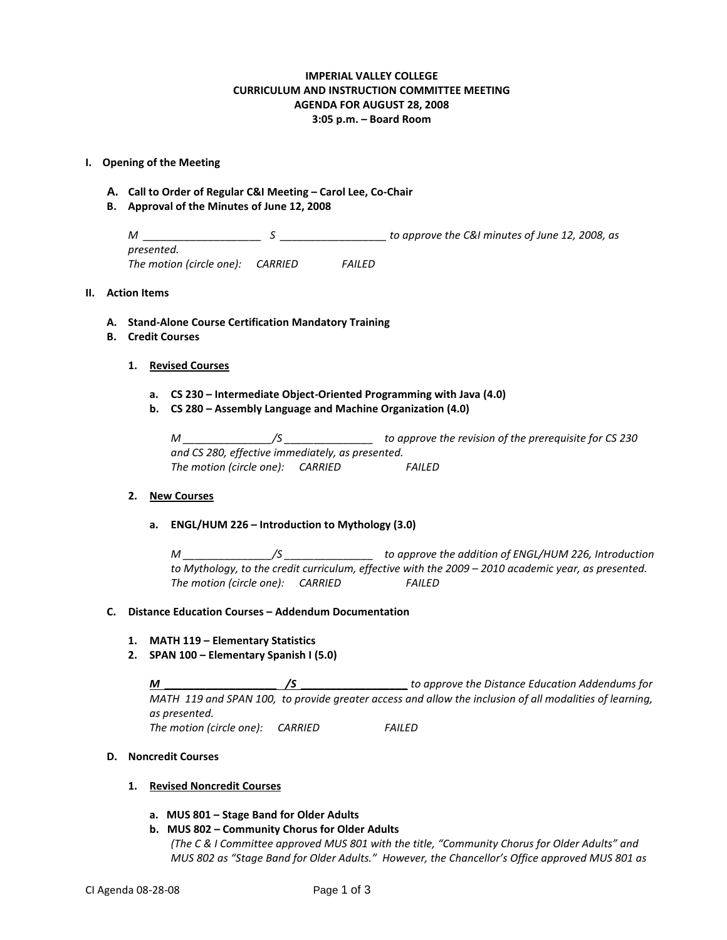# **IMPERIAL VALLEY COLLEGE CURRICULUM AND INSTRUCTION COMMITTEE MEETING AGENDA FOR AUGUST 28, 2008 3:05 p.m. – Board Room**

### **I. Opening of the Meeting**

- **A. Call to Order of Regular C&I Meeting – Carol Lee, Co-Chair**
- **B. Approval of the Minutes of June 12, 2008**

*M \_\_\_\_\_\_\_\_\_\_\_\_\_\_\_\_\_\_\_\_ S \_\_\_\_\_\_\_\_\_\_\_\_\_\_\_\_\_\_ to approve the C&I minutes of June 12, 2008, as presented. The motion (circle one): CARRIED FAILED*

### **II. Action Items**

- **A. Stand-Alone Course Certification Mandatory Training**
- **B. Credit Courses**
	- **1. Revised Courses**
		- **a. CS 230 – Intermediate Object-Oriented Programming with Java (4.0)**
		- **b. CS 280 – Assembly Language and Machine Organization (4.0)**

*M \_\_\_\_\_\_\_\_\_\_\_\_\_\_\_/S \_\_\_\_\_\_\_\_\_\_\_\_\_\_\_ to approve the revision of the prerequisite for CS 230 and CS 280, effective immediately, as presented. The motion (circle one): CARRIED FAILED*

# **2. New Courses**

## **a. ENGL/HUM 226 – Introduction to Mythology (3.0)**

*M \_\_\_\_\_\_\_\_\_\_\_\_\_\_\_/S \_\_\_\_\_\_\_\_\_\_\_\_\_\_\_ to approve the addition of ENGL/HUM 226, Introduction to Mythology, to the credit curriculum, effective with the 2009 – 2010 academic year, as presented. The motion (circle one): CARRIED FAILED*

### **C. Distance Education Courses – Addendum Documentation**

### **1. MATH 119 – Elementary Statistics**

**2. SPAN 100 – Elementary Spanish I (5.0)**

*M \_\_\_\_\_\_\_\_\_\_\_\_\_\_\_\_\_\_\_ /S \_\_\_\_\_\_\_\_\_\_\_\_\_\_\_\_\_\_ to approve the Distance Education Addendums for MATH 119 and SPAN 100, to provide greater access and allow the inclusion of all modalities of learning, as presented. The motion (circle one): CARRIED FAILED*

## **D. Noncredit Courses**

### **1. Revised Noncredit Courses**

- **a. MUS 801 – Stage Band for Older Adults**
- **b. MUS 802 – Community Chorus for Older Adults**

*(The C & I Committee approved MUS 801 with the title, "Community Chorus for Older Adults" and MUS 802 as "Stage Band for Older Adults." However, the Chancellor's Office approved MUS 801 as*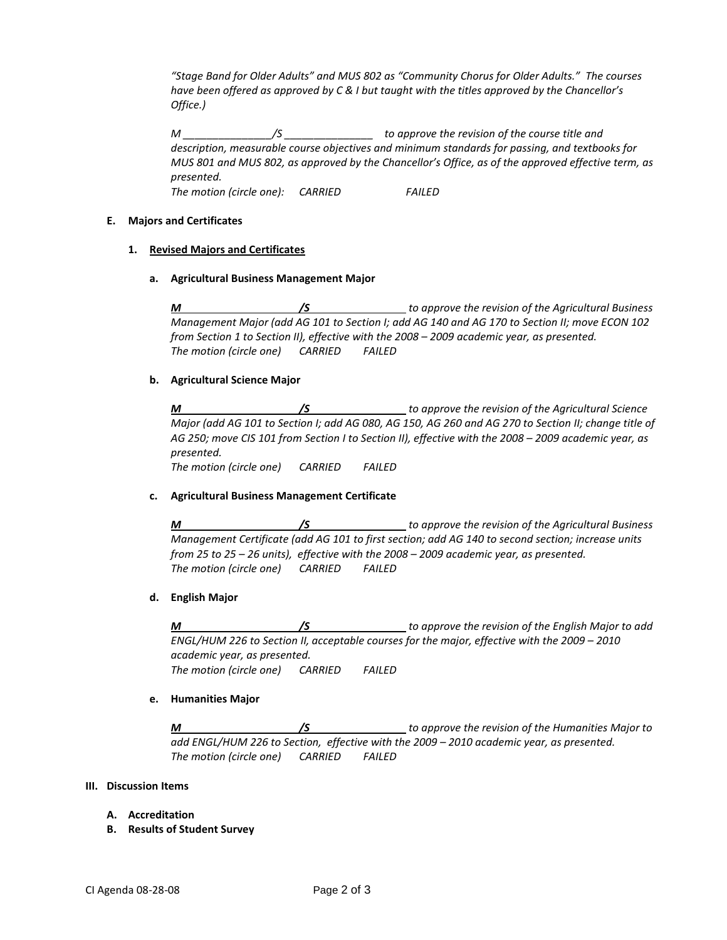*"Stage Band for Older Adults" and MUS 802 as "Community Chorus for Older Adults." The courses have been offered as approved by C & I but taught with the titles approved by the Chancellor's Office.)*

*M \_\_\_\_\_\_\_\_\_\_\_\_\_\_\_/S \_\_\_\_\_\_\_\_\_\_\_\_\_\_\_ to approve the revision of the course title and description, measurable course objectives and minimum standards for passing, and textbooks for MUS 801 and MUS 802, as approved by the Chancellor's Office, as of the approved effective term, as presented. The motion (circle one): CARRIED FAILED*

### **E. Majors and Certificates**

## **1. Revised Majors and Certificates**

### **a. Agricultural Business Management Major**

*M /S to approve the revision of the Agricultural Business Management Major (add AG 101 to Section I; add AG 140 and AG 170 to Section II; move ECON 102 from Section 1 to Section II), effective with the 2008 – 2009 academic year, as presented. The motion (circle one) CARRIED FAILED*

## **b. Agricultural Science Major**

*M /S to approve the revision of the Agricultural Science Major (add AG 101 to Section I; add AG 080, AG 150, AG 260 and AG 270 to Section II; change title of AG 250; move CIS 101 from Section I to Section II), effective with the 2008 – 2009 academic year, as presented. The motion (circle one) CARRIED FAILED*

### **c. Agricultural Business Management Certificate**

*M /S to approve the revision of the Agricultural Business Management Certificate (add AG 101 to first section; add AG 140 to second section; increase units from 25 to 25 – 26 units), effective with the 2008 – 2009 academic year, as presented. The motion (circle one) CARRIED FAILED*

# **d. English Major**

*M /S to approve the revision of the English Major to add ENGL/HUM 226 to Section II, acceptable courses for the major, effective with the 2009 – 2010 academic year, as presented. The motion (circle one) CARRIED FAILED*

### **e. Humanities Major**

*M /S to approve the revision of the Humanities Major to add ENGL/HUM 226 to Section, effective with the 2009 – 2010 academic year, as presented. The motion (circle one) CARRIED FAILED*

### **III. Discussion Items**

- **A. Accreditation**
- **B. Results of Student Survey**